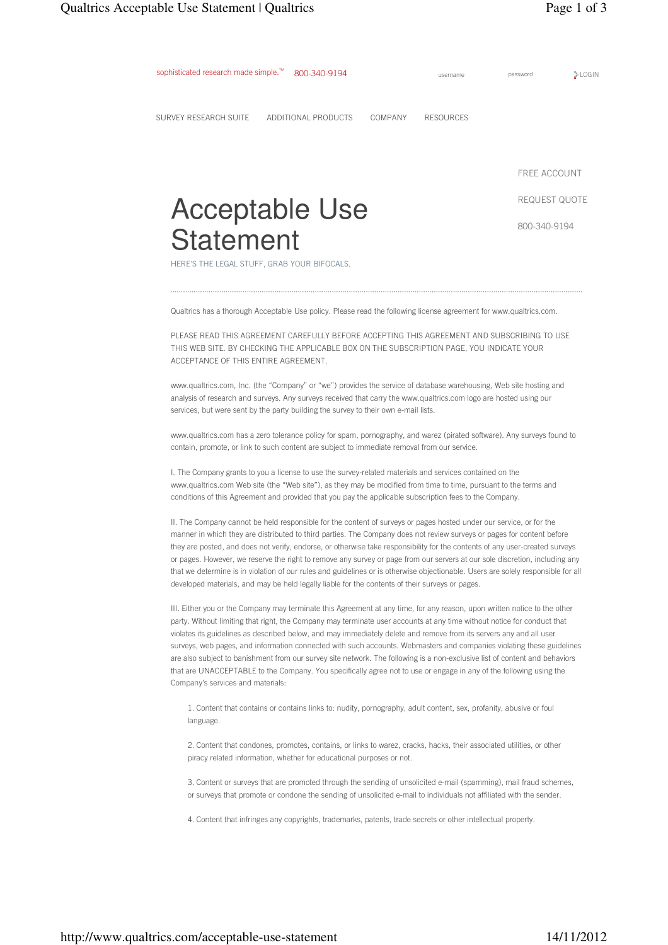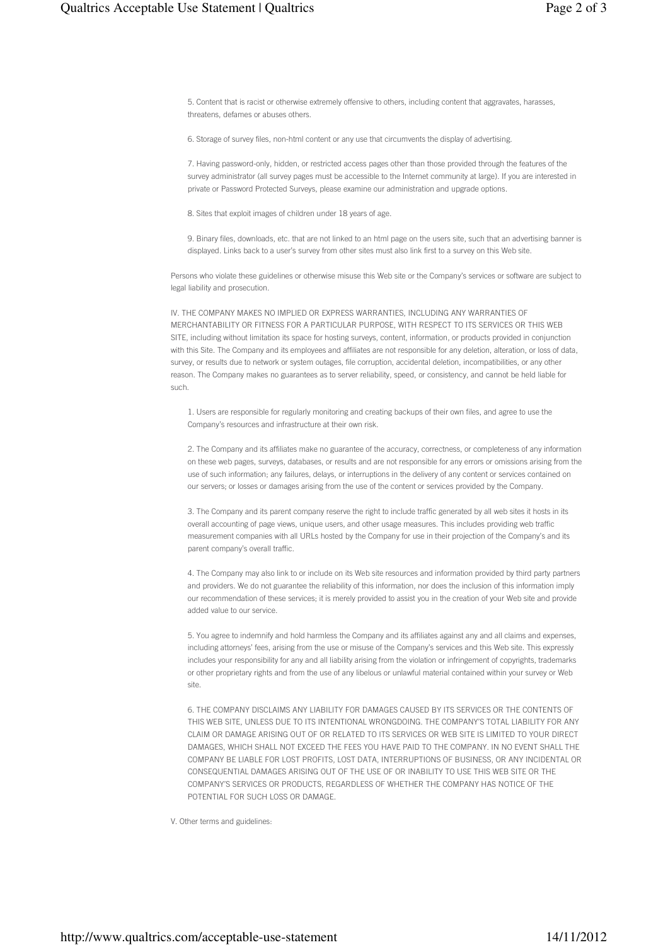5. Content that is racist or otherwise extremely offensive to others, including content that aggravates, harasses, threatens, defames or abuses others.

6. Storage of survey files, non-html content or any use that circumvents the display of advertising.

7. Having password-only, hidden, or restricted access pages other than those provided through the features of the survey administrator (all survey pages must be accessible to the Internet community at large). If you are interested in private or Password Protected Surveys, please examine our administration and upgrade options.

8. Sites that exploit images of children under 18 years of age.

9. Binary files, downloads, etc. that are not linked to an html page on the users site, such that an advertising banner is displayed. Links back to a user's survey from other sites must also link first to a survey on this Web site.

Persons who violate these guidelines or otherwise misuse this Web site or the Company's services or software are subject to legal liability and prosecution.

IV. THE COMPANY MAKES NO IMPLIED OR EXPRESS WARRANTIES, INCLUDING ANY WARRANTIES OF MERCHANTABILITY OR FITNESS FOR A PARTICULAR PURPOSE, WITH RESPECT TO ITS SERVICES OR THIS WEB SITE, including without limitation its space for hosting surveys, content, information, or products provided in conjunction with this Site. The Company and its employees and affiliates are not responsible for any deletion, alteration, or loss of data, survey, or results due to network or system outages, file corruption, accidental deletion, incompatibilities, or any other reason. The Company makes no guarantees as to server reliability, speed, or consistency, and cannot be held liable for such.

1. Users are responsible for regularly monitoring and creating backups of their own files, and agree to use the Company's resources and infrastructure at their own risk.

2. The Company and its affiliates make no guarantee of the accuracy, correctness, or completeness of any information on these web pages, surveys, databases, or results and are not responsible for any errors or omissions arising from the use of such information; any failures, delays, or interruptions in the delivery of any content or services contained on our servers; or losses or damages arising from the use of the content or services provided by the Company.

3. The Company and its parent company reserve the right to include traffic generated by all web sites it hosts in its overall accounting of page views, unique users, and other usage measures. This includes providing web traffic measurement companies with all URLs hosted by the Company for use in their projection of the Company's and its parent company's overall traffic.

4. The Company may also link to or include on its Web site resources and information provided by third party partners and providers. We do not guarantee the reliability of this information, nor does the inclusion of this information imply our recommendation of these services; it is merely provided to assist you in the creation of your Web site and provide added value to our service.

5. You agree to indemnify and hold harmless the Company and its affiliates against any and all claims and expenses, including attorneys' fees, arising from the use or misuse of the Company's services and this Web site. This expressly includes your responsibility for any and all liability arising from the violation or infringement of copyrights, trademarks or other proprietary rights and from the use of any libelous or unlawful material contained within your survey or Web site.

6. THE COMPANY DISCLAIMS ANY LIABILITY FOR DAMAGES CAUSED BY ITS SERVICES OR THE CONTENTS OF THIS WEB SITE, UNLESS DUE TO ITS INTENTIONAL WRONGDOING. THE COMPANY'S TOTAL LIABILITY FOR ANY CLAIM OR DAMAGE ARISING OUT OF OR RELATED TO ITS SERVICES OR WEB SITE IS LIMITED TO YOUR DIRECT DAMAGES, WHICH SHALL NOT EXCEED THE FEES YOU HAVE PAID TO THE COMPANY. IN NO EVENT SHALL THE COMPANY BE LIABLE FOR LOST PROFITS, LOST DATA, INTERRUPTIONS OF BUSINESS, OR ANY INCIDENTAL OR CONSEQUENTIAL DAMAGES ARISING OUT OF THE USE OF OR INABILITY TO USE THIS WEB SITE OR THE COMPANY'S SERVICES OR PRODUCTS, REGARDLESS OF WHETHER THE COMPANY HAS NOTICE OF THE POTENTIAL FOR SUCH LOSS OR DAMAGE.

V. Other terms and guidelines: